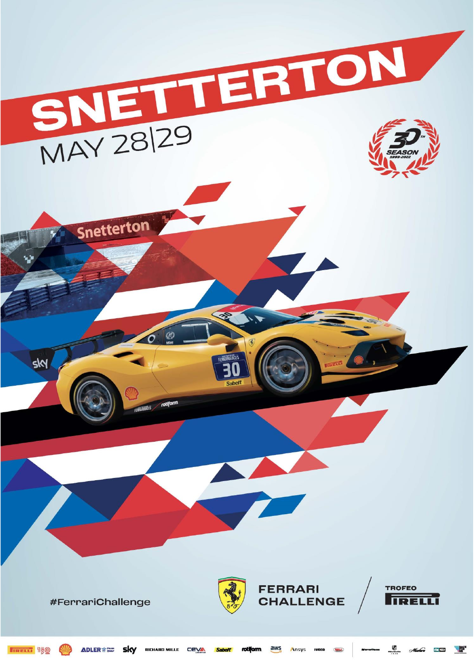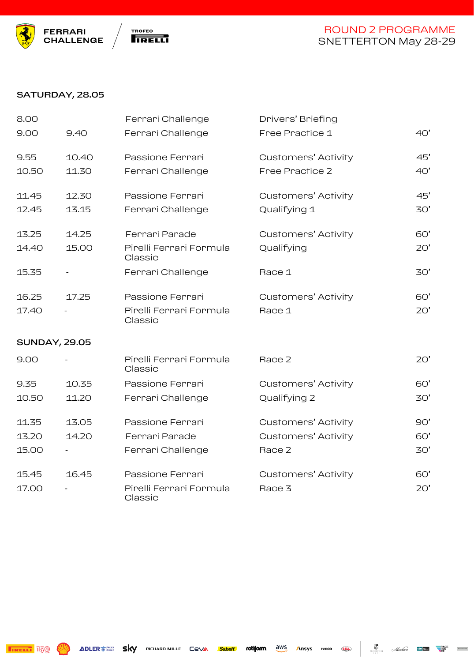



#### SATURDAY, 28.05

| 8.00                 |       | Ferrari Challenge                  | Drivers' Briefing          |     |
|----------------------|-------|------------------------------------|----------------------------|-----|
| 9.00                 | 9.40  | Ferrari Challenge                  | Free Practice 1            | 40' |
| 9.55                 | 10.40 | Passione Ferrari                   | <b>Customers' Activity</b> | 45' |
| 10.50                | 11.30 | Ferrari Challenge                  | Free Practice 2            | 40' |
| 11.45                | 12.30 | Passione Ferrari                   | <b>Customers' Activity</b> | 45' |
| 12.45                | 13.15 | Ferrari Challenge                  | Qualifying 1               | 30' |
| 13.25                | 14.25 | Ferrari Parade                     | <b>Customers' Activity</b> | 60' |
| 14.40                | 15.00 | Pirelli Ferrari Formula<br>Classic | Qualifying                 | 20' |
| 15.35                |       | Ferrari Challenge                  | Race 1                     | 30' |
| 16.25                | 17.25 | Passione Ferrari                   | <b>Customers' Activity</b> | 60' |
| 17.40                |       | Pirelli Ferrari Formula<br>Classic | Race 1                     | 20' |
| <b>SUNDAY, 29.05</b> |       |                                    |                            |     |
| 9.00                 |       | Pirelli Ferrari Formula<br>Classic | Race 2                     | 20' |
| 9.35                 | 10.35 | Passione Ferrari                   | <b>Customers' Activity</b> | 60' |
| 10.50                | 11.20 | Ferrari Challenge                  | Qualifying 2               | 30' |
| 11.35                | 13.05 | Passione Ferrari                   | <b>Customers' Activity</b> | 90' |
| 13.20                | 14.20 | Ferrari Parade                     | <b>Customers' Activity</b> | 60' |
| 15.00                |       | Ferrari Challenge                  | Race 2                     | 30' |
| 15.45                | 16.45 | Passione Ferrari                   | <b>Customers' Activity</b> | 60' |
| 17.00                |       | Pirelli Ferrari Formula<br>Classic | Race 3                     | 20' |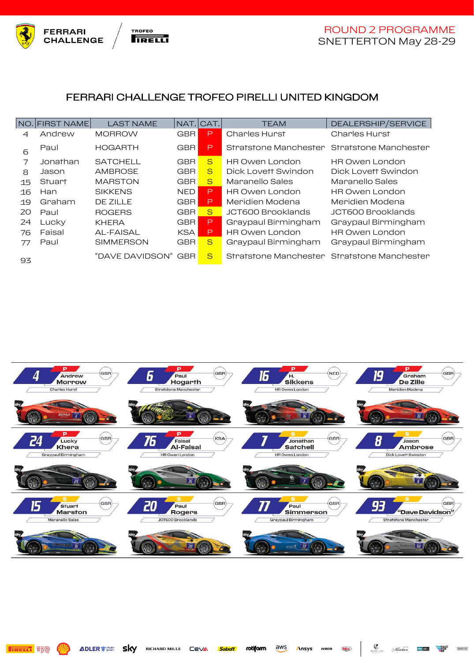



Misubaca

**PACK**<br>POR

## FERRARI CHALLENGE TROFEO PIRELLI UNITED KINGDOM

|                | NO. FIRST NAME | <b>LAST NAME</b> | NAT.       | ICAT.        | <b>TEAM</b>                                 | DEALERSHIP/SERVICE    |
|----------------|----------------|------------------|------------|--------------|---------------------------------------------|-----------------------|
| 4              | Andrew         | <b>MORROW</b>    | <b>GBR</b> | P            | Charles Hurst                               | Charles Hurst         |
| 6              | Paul           | <b>HOGARTH</b>   | <b>GBR</b> | P            | Stratstone Manchester Stratstone Manchester |                       |
| $\overline{7}$ | Jonathan       | <b>SATCHELL</b>  | <b>GBR</b> | S            | <b>HR Owen London</b>                       | <b>HR Owen London</b> |
| 8              | Jason          | <b>AMBROSE</b>   | <b>GBR</b> | S            | Dick Lovett Swindon                         | Dick Lovett Swindon   |
| 15             | Stuart         | <b>MARSTON</b>   | <b>GBR</b> | <sub>S</sub> | Maranello Sales                             | Maranello Sales       |
| 16             | Han            | <b>SIKKENS</b>   | <b>NED</b> | P            | HR Owen London                              | <b>HR Owen London</b> |
| 19             | Graham         | DE ZILLE         | <b>GBR</b> | P            | Meridien Modena                             | Meridien Modena       |
| 20             | Paul           | <b>ROGERS</b>    | <b>GBR</b> | <sub>S</sub> | JCT600 Brooklands                           | JCT600 Brooklands     |
| 24             | Lucky          | <b>KHERA</b>     | <b>GBR</b> | P            | Graypaul Birmingham                         | Graypaul Birmingham   |
| 76             | Faisal         | AL-FAISAL        | <b>KSA</b> | P,           | <b>HR Owen London</b>                       | <b>HR Owen London</b> |
| 77             | Paul           | <b>SIMMERSON</b> | <b>GBR</b> | S            | Graypaul Birmingham                         | Graypaul Birmingham   |
| 93             |                | "DAVE DAVIDSON"  | GBR.       | S            | Stratstone Manchester Stratstone Manchester |                       |

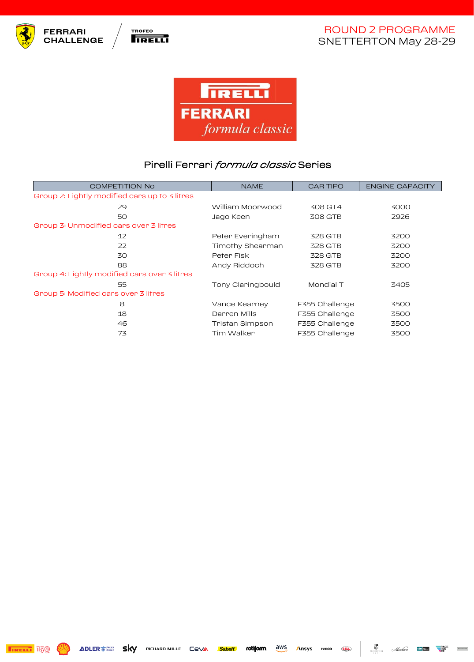



 $\frac{1}{2}$ 

 $\begin{tabular}{|c|c|} \hline \multicolumn{3}{|c|}{\textbf{m}} & \multicolumn{3}{|c|}{\textbf{m}} & \multicolumn{3}{|c|}{\textbf{m}} & \multicolumn{3}{|c|}{\textbf{m}} & \multicolumn{3}{|c|}{\textbf{m}} & \multicolumn{3}{|c|}{\textbf{m}} & \multicolumn{3}{|c|}{\textbf{m}} & \multicolumn{3}{|c|}{\textbf{m}} & \multicolumn{3}{|c|}{\textbf{m}} & \multicolumn{3}{|c|}{\textbf{m}} & \multicolumn{3}{|c|}{\textbf{m}} & \multicolumn{3}{$ 



## Pirelli Ferrari *formula classic* Series

| <b>COMPETITION No</b>                         | <b>NAME</b>       | <b>CAR TIPO</b> | <b>ENGINE CAPACITY</b> |  |  |  |  |
|-----------------------------------------------|-------------------|-----------------|------------------------|--|--|--|--|
| Group 2: Lightly modified cars up to 3 litres |                   |                 |                        |  |  |  |  |
| 29                                            | William Moorwood  | 308 GT4         | 3000                   |  |  |  |  |
| 50                                            | Jaqo Keen         | 308 GTB         | 2926                   |  |  |  |  |
| Group 3: Unmodified cars over 3 litres        |                   |                 |                        |  |  |  |  |
| 12                                            | Peter Everingham  | 328 GTB         | 3200                   |  |  |  |  |
| 22                                            | Timothy Shearman  | 328 GTB         | 3200                   |  |  |  |  |
| 30                                            | Peter Fisk        | 328 GTB         | 3200                   |  |  |  |  |
| 88                                            | Andy Riddoch      | 328 GTB         | 3200                   |  |  |  |  |
| Group 4: Lightly modified cars over 3 litres  |                   |                 |                        |  |  |  |  |
| 55                                            | Tony Claringbould | Mondial T       | 3405                   |  |  |  |  |
| Group 5: Modified cars over 3 litres          |                   |                 |                        |  |  |  |  |
| 8                                             | Vance Kearney     | F355 Challenge  | 3500                   |  |  |  |  |
| 18                                            | Darren Mills      | F355 Challenge  | 3500                   |  |  |  |  |
| 46                                            | Tristan Simpson   | F355 Challenge  | 3500                   |  |  |  |  |
| 73                                            | Tim Walker        | F355 Challenge  | 3500                   |  |  |  |  |